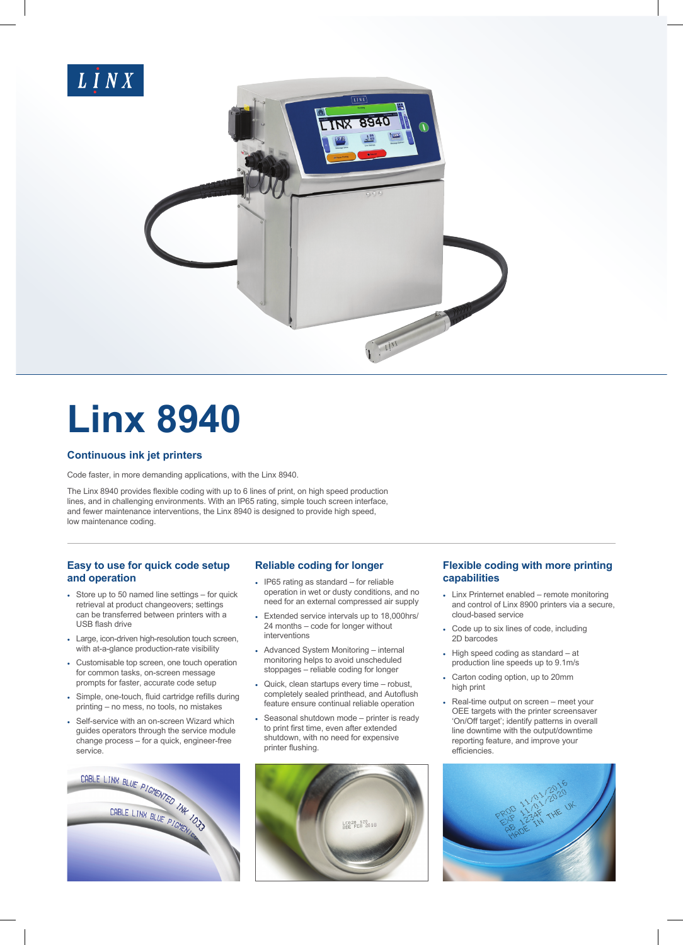

# **Linx 8940**

# **Continuous ink jet printers**

Code faster, in more demanding applications, with the Linx 8940.

The Linx 8940 provides flexible coding with up to 6 lines of print, on high speed production lines, and in challenging environments. With an IP65 rating, simple touch screen interface, and fewer maintenance interventions, the Linx 8940 is designed to provide high speed, low maintenance coding.

# **Easy to use for quick code setup and operation**

- Store up to 50 named line settings for quick retrieval at product changeovers; settings can be transferred between printers with a USB flash drive
- Large, icon-driven high-resolution touch screen, with at-a-glance production-rate visibility
- Customisable top screen, one touch operation for common tasks, on-screen message prompts for faster, accurate code setup
- Simple, one-touch, fluid cartridge refills during printing – no mess, no tools, no mistakes
- Self-service with an on-screen Wizard which guides operators through the service module change process – for a quick, engineer-free



# **Reliable coding for longer**

- IP65 rating as standard for reliable operation in wet or dusty conditions, and no need for an external compressed air supply
- Extended service intervals up to 18,000hrs/ 24 months – code for longer without interventions
- Advanced System Monitoring internal monitoring helps to avoid unscheduled stoppages – reliable coding for longer
- Quick, clean startups every time robust, completely sealed printhead, and Autoflush feature ensure continual reliable operation
- Seasonal shutdown mode printer is ready to print first time, even after extended shutdown, with no need for expensive printer flushing.



# **Flexible coding with more printing capabilities**

- Linx Printernet enabled remote monitoring and control of Linx 8900 printers via a secure, cloud-based service
- Code up to six lines of code, including 2D barcodes
- High speed coding as standard at production line speeds up to 9.1m/s
- Carton coding option, up to 20mm high print
- Real-time output on screen meet your OEE targets with the printer screensaver 'On/Off target'; identify patterns in overall line downtime with the output/downtime reporting feature, and improve your efficiencies.